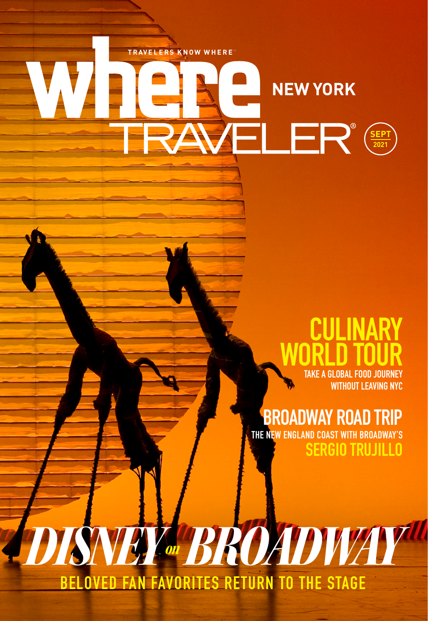

*DISNEY on BROADWAY*

**BELOVED FAN FAVORITES RETURN TO THE STAGE**

## **CULINARY WORLD TOUR TAKE A GLOBAL FOOD JOURNEY**

**WITHOUT LEAVING NYC**

## **BROADWAY ROAD TRIP**<br>THE NEW ENGLAND COAST WITH BROADWAY'S

**W ENGLAND COAST WITH BROADWAY'S SERGIO TRUJILLO**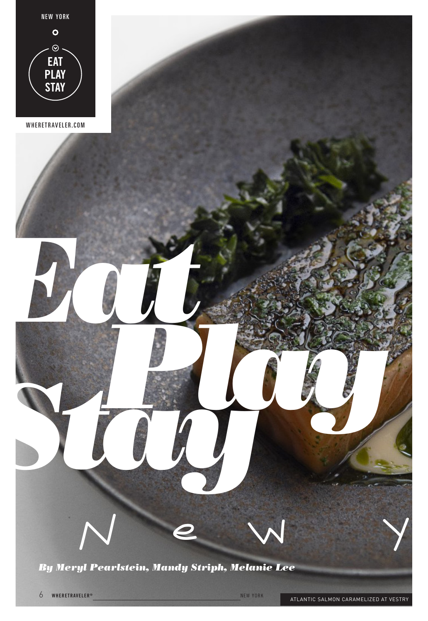